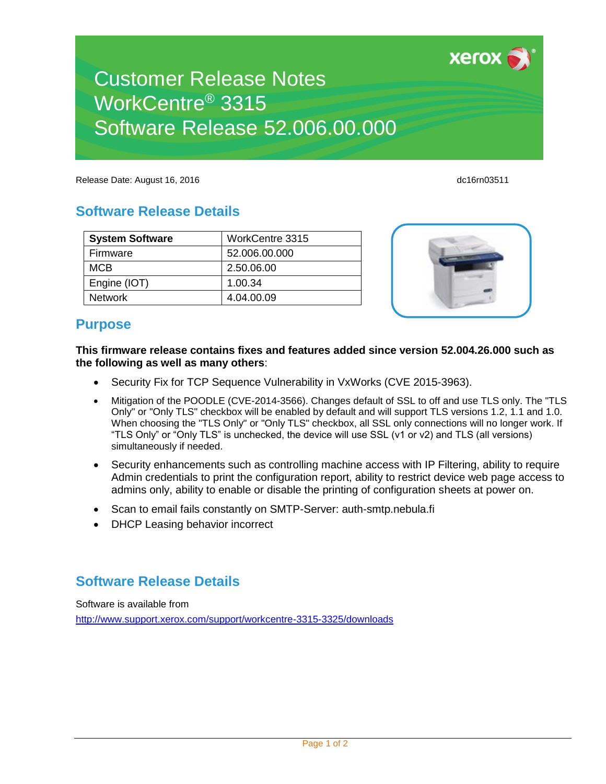

xerox

# Customer Release Notes WorkCentre® 3315 Software Release 52.006.00.000

Release Date: August 16, 2016 dc16rn03511 dc16rn03511

## **Software Release Details**

### **System Software WorkCentre 3315** Firmware 52.006.00.000 MCB 2.50.06.00 Engine (IOT) 1.00.34 Network 14.04.00.09



#### **Purpose**

**This firmware release contains fixes and features added since version 52.004.26.000 such as the following as well as many others**:

- Security Fix for TCP Sequence Vulnerability in VxWorks (CVE 2015-3963).
- Mitigation of the POODLE (CVE-2014-3566). Changes default of SSL to off and use TLS only. The "TLS Only" or "Only TLS" checkbox will be enabled by default and will support TLS versions 1.2, 1.1 and 1.0. When choosing the "TLS Only" or "Only TLS" checkbox, all SSL only connections will no longer work. If "TLS Only" or "Only TLS" is unchecked, the device will use SSL (v1 or v2) and TLS (all versions) simultaneously if needed.
- Security enhancements such as controlling machine access with IP Filtering, ability to require Admin credentials to print the configuration report, ability to restrict device web page access to admins only, ability to enable or disable the printing of configuration sheets at power on.
- Scan to email fails constantly on SMTP-Server: auth-smtp.nebula.fi
- DHCP Leasing behavior incorrect

## **Software Release Details**

Software is available from [http://www.support.xerox.com/support/workcentre-3315-3325/downloads](http://www.support.xerox.com/support/workcentre-3315-3325/file-download/enus.html?operatingSystem=win7x64&fileLanguage=en&contentId=127330&from=downloads&viewArchived=false)